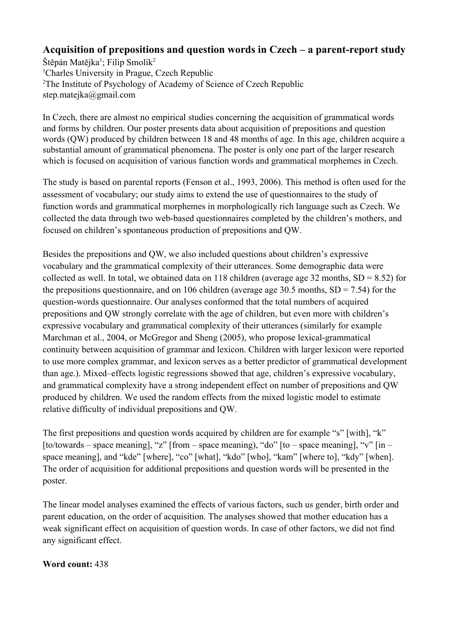## Acquisition of prepositions and question words in Czech – a parent-report study

Štěpán Matějka<sup>1</sup>; Filip Smolík<sup>2</sup> <sup>1</sup>Charles University in Prague, Czech Republic <sup>2</sup>The Institute of Psychology of Academy of Science of Czech Republic step.matejka@gmail.com

In Czech, there are almost no empirical studies concerning the acquisition of grammatical words and forms by children. Our poster presents data about acquisition of prepositions and question words (QW) produced by children between 18 and 48 months of age. In this age, children acquire a substantial amount of grammatical phenomena. The poster is only one part of the larger research which is focused on acquisition of various function words and grammatical morphemes in Czech.

The study is based on parental reports (Fenson et al., 1993, 2006). This method is often used for the assessment of vocabulary; our study aims to extend the use of questionnaires to the study of function words and grammatical morphemes in morphologically rich language such as Czech. We collected the data through two web-based questionnaires completed by the children's mothers, and focused on children's spontaneous production of prepositions and QW.

Besides the prepositions and QW, we also included questions about children's expressive vocabulary and the grammatical complexity of their utterances. Some demographic data were collected as well. In total, we obtained data on 118 children (average age 32 months,  $SD = 8.52$ ) for the prepositions questionnaire, and on 106 children (average age 30.5 months,  $SD = 7.54$ ) for the question-words questionnaire. Our analyses conformed that the total numbers of acquired prepositions and QW strongly correlate with the age of children, but even more with children's expressive vocabulary and grammatical complexity of their utterances (similarly for example Marchman et al., 2004, or McGregor and Sheng (2005), who propose lexical-grammatical continuity between acquisition of grammar and lexicon. Children with larger lexicon were reported to use more complex grammar, and lexicon serves as a better predictor of grammatical development than age.). Mixed–effects logistic regressions showed that age, children's expressive vocabulary, and grammatical complexity have a strong independent effect on number of prepositions and QW produced by children. We used the random effects from the mixed logistic model to estimate relative difficulty of individual prepositions and QW.

The first prepositions and question words acquired by children are for example "s" [with], "k" [to/towards – space meaning], "z" [from – space meaning), "do" [to – space meaning], "v" [in – space meaning], and "kde" [where], "co" [what], "kdo" [who], "kam" [where to], "kdy" [when]. The order of acquisition for additional prepositions and question words will be presented in the poster.

The linear model analyses examined the effects of various factors, such us gender, birth order and parent education, on the order of acquisition. The analyses showed that mother education has a weak significant effect on acquisition of question words. In case of other factors, we did not find any significant effect.

## **Word count:** 438